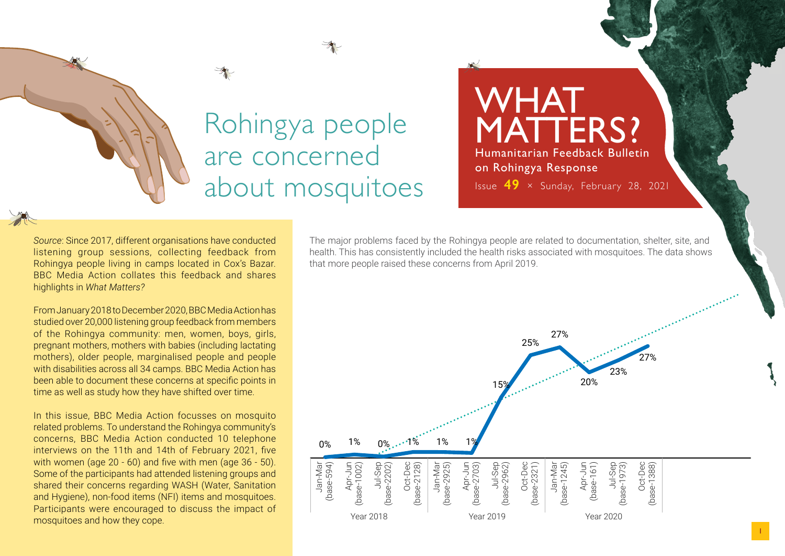## Rohingya people are concerned about mosquitoes

WHAT MATTERS? Humanitarian Feedback Bulletin on Rohingya Response Issue **49** × Sunday, February 28, 2021

*Source*: Since 2017, different organisations have conducted listening group sessions, collecting feedback from Rohingya people living in camps located in Cox's Bazar. BBC Media Action collates this feedback and shares highlights in *What Matters?*

From January 2018 to December 2020, BBC Media Action has studied over 20,000 listening group feedback from members of the Rohingya community: men, women, boys, girls, pregnant mothers, mothers with babies (including lactating mothers), older people, marginalised people and people with disabilities across all 34 camps. BBC Media Action has been able to document these concerns at specific points in time as well as study how they have shifted over time.

In this issue, BBC Media Action focusses on mosquito related problems. To understand the Rohingya community's concerns, BBC Media Action conducted 10 telephone interviews on the 11th and 14th of February 2021, five with women (age 20 - 60) and five with men (age 36 - 50). Some of the participants had attended listening groups and shared their concerns regarding WASH (Water, Sanitation and Hygiene), non-food items (NFI) items and mosquitoes. Participants were encouraged to discuss the impact of mosquitoes and how they cope.

The major problems faced by the Rohingya people are related to documentation, shelter, site, and health. This has consistently included the health risks associated with mosquitoes. The data shows that more people raised these concerns from April 2019.